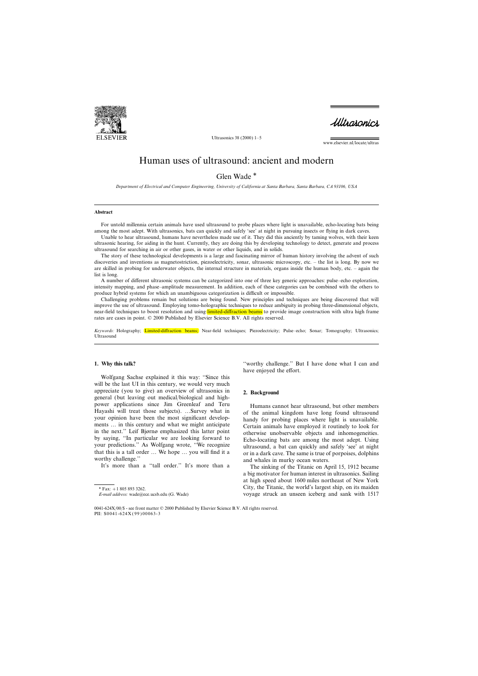

Witnasonics

Ultrasonics 38 (2000) 1–5

www.elsevier.nl/locate/ultras

# Human uses of ultrasound: ancient and modern

Glen Wade \*

*Department of Electrical and Computer Engineering, University of California at Santa Barbara, Santa Barbara, CA 93106, USA*

## **Abstract**

For untold millennia certain animals have used ultrasound to probe places where light is unavailable, echo-locating bats being among the most adept. With ultrasonics, bats can quickly and safely 'see' at night in pursuing insects or flying in dark caves.

Unable to hear ultrasound, humans have nevertheless made use of it. They did this anciently by taming wolves, with their keen ultrasonic hearing, for aiding in the hunt. Currently, they are doing this by developing technology to detect, generate and process ultrasound for searching in air or other gases, in water or other liquids, and in solids.

The story of these technological developments is a large and fascinating mirror of human history involving the advent of such discoveries and inventions as magnetostriction, piezoelectricity, sonar, ultrasonic microscopy, etc. – the list is long. By now we are skilled in probing for underwater objects, the internal structure in materials, organs inside the human body, etc. – again the list is long.

A number of different ultrasonic systems can be categorized into one of three key generic approaches: pulse–echo exploration, intensity mapping, and phase–amplitude measurement. In addition, each of these categories can be combined with the others to produce hybrid systems for which an unambiguous categorization is difficult or impossible.

Challenging problems remain but solutions are being found. New principles and techniques are being discovered that will improve the use of ultrasound. Employing tomo-holographic techniques to reduce ambiguity in probing three-dimensional objects, near-field techniques to boost resolution and using *limited-diffraction beams* to provide image construction with ultra high frame rates are cases in point. © 2000 Published by Elsevier Science B.V. All rights reserved.

*Keywords:* Holography; Limited-diffraction beams; Near-field techniques; Piezoelectricity; Pulse–echo; Sonar; Tomography; Ultrasonics; Ultrasound

Wolfgang Sachse explained it this way: ''Since this will be the last UI in this century, we would very much appreciate (you to give) an overview of ultrasonics in **2. Background** general (but leaving out medical/biological and highpower applications since Jim Greenleaf and Teru<br>Humans cannot hear ultrasound, but other members<br>Hayashi will treat those subjects). ...Survey what in of the animal kinodom have long found ultrasound

**1. Why this talk?** ''worthy challenge.'' But I have done what I can and have enjoyed the effort.

Hayashi will treat those subjects). ...Survey what in<br>your opinion have been the most significant develop-<br>ments ... in this century and what we might anticipate<br>in the next." Leif Bjørnø emphasized this latter point<br>by sa

a big motivator for human interest in ultrasonics. Sailing at high speed about 1600 miles northeast of New York  $\frac{1}{1 + \text{Fax:} +18058933262}$  City, the Titanic, the world's largest ship, on its maiden *E-mail address:* wade@ece.ucsb.edu (G. Wade) voyage struck an unseen iceberg and sank with 1517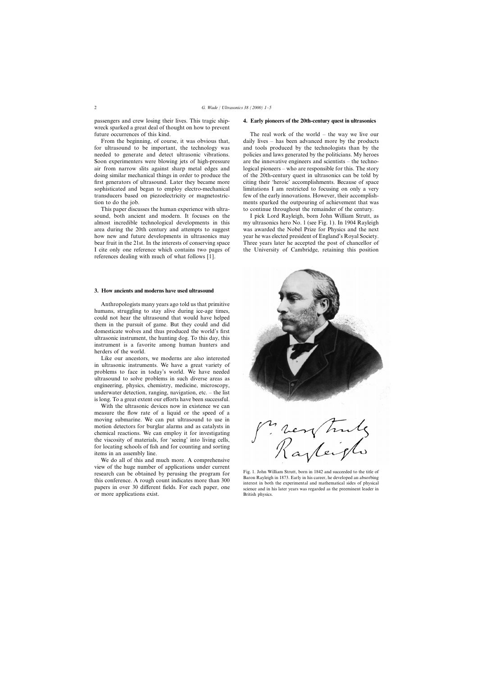passengers and crew losing their lives. This tragic ship- **4. Early pioneers of the 20th-century quest in ultrasonics** wreck sparked a great deal of thought on how to prevent future occurrences of this kind. The real work of the world – the way we live our

for ultrasound to be important, the technology was and tools produced by the technologists than by the needed to generate and detect ultrasonic vibrations. policies and laws generated by the politicians. My heroes Soon experimenters were blowing jets of high-pressure are the innovative engineers and scientists – the technoair from narrow slits against sharp metal edges and logical pioneers – who are responsible for this. The story doing similar mechanical things in order to produce the of the 20th-century quest in ultrasonics can be told by first generators of ultrasound. Later they became more citing their 'heroic' accomplishments. Because of space sophisticated and began to employ electro-mechanical limitations I am restricted to focusing on only a very transducers based on piezoelectricity or magnetostric- few of the early innovations. However, their accomplishtion to do the job. ments sparked the outpouring of achievement that was

sound, both ancient and modern. It focuses on the I pick Lord Rayleigh, born John William Strutt, as almost incredible technological developments in this my ultrasonics hero No. 1 (see Fig. 1). In 1904 Rayleigh area during the 20th century and attempts to suggest was awarded the Nobel Prize for Physics and the next how new and future developments in ultrasonics may year he was elected president of England's Royal Society. bear fruit in the 21st. In the interests of conserving space Three years later he accepted the post of chancellor of I cite only one reference which contains two pages of the University of Cambridge, retaining this position references dealing with much of what follows [1].

## **3. How ancients and moderns have used ultrasound**

Anthropologists many years ago told us that primitive humans, struggling to stay alive during ice-age times, could not hear the ultrasound that would have helped them in the pursuit of game. But they could and did domesticate wolves and thus produced the world's first ultrasonic instrument, the hunting dog. To this day, this instrument is a favorite among human hunters and herders of the world.

Like our ancestors, we moderns are also interested in ultrasonic instruments. We have a great variety of problems to face in today's world. We have needed ultrasound to solve problems in such diverse areas as engineering, physics, chemistry, medicine, microscopy, underwater detection, ranging, navigation, etc. – the list is long. To a great extent our efforts have been successful.

With the ultrasonic devices now in existence we can measure the flow rate of a liquid or the speed of a moving submarine. We can put ultrasound to use in motion detectors for burglar alarms and as catalysts in chemical reactions. We can employ it for investigating the viscosity of materials, for 'seeing' into living cells, for locating schools of fish and for counting and sorting items in an assembly line.

We do all of this and much more. A comprehensive view of the huge number of applications under current research can be obtained by perusing the program for<br>this conference. A rough count indicates more than 300<br>therest in both the experimental and mathematical sides of physical papers in over 30 different fields. For each paper, one science and in his later years was regarded as the preeminent leader in or more applications exist. British physics.

From the beginning, of course, it was obvious that, daily lives – has been advanced more by the products This paper discusses the human experience with ultra- to continue throughout the remainder of the century.

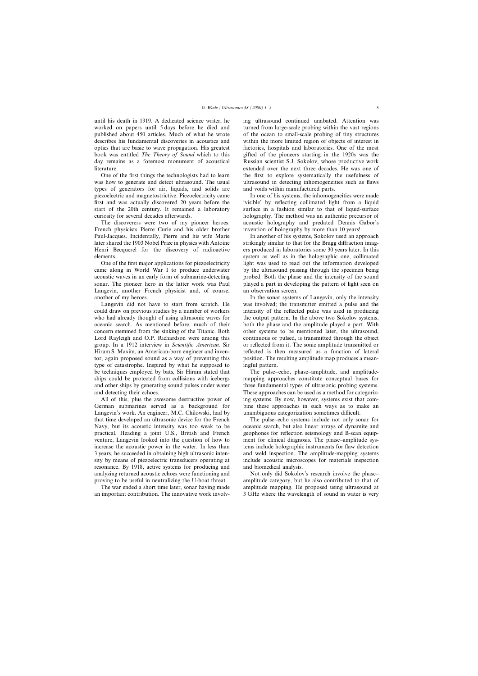until his death in 1919. A dedicated science writer, he ing ultrasound continued unabated. Attention was worked on papers until 5 days before he died and turned from large-scale probing within the vast regions published about 450 articles. Much of what he wrote of the ocean to small-scale probing of tiny structures describes his fundamental discoveries in acoustics and within the more limited region of objects of interest in optics that are basic to wave propagation. His greatest factories, hospitals and laboratories. One of the most book was entitled *The Theory of Sound* which to this gifted of the pioneers starting in the 1920s was the day remains as a foremost monument of acoustical Russian scientist S.J. Sokolov, whose productive work literature. extended over the next three decades. He was one of

was how to generate and detect ultrasound. The usual ultrasound in detecting inhomogeneities such as flaws types of generators for air, liquids, and solids are and voids within manufactured parts. piezoelectric and magnetostrictive. Piezoelectricity came In one of his systems, the inhomogeneities were made first and was actually discovered 20 years before the 'visible' by reflecting collimated light from a liquid start of the 20th century. It remained a laboratory surface in a fashion similar to that of liquid-surface curiosity for several decades afterwards. holography. The method was an authentic precursor of

French physicists Pierre Curie and his older brother invention of holography by more than 10 years! Paul-Jacques. Incidentally, Pierre and his wife Marie In another of his systems, Sokolov used an approach later shared the 1903 Nobel Prize in physics with Antoine strikingly similar to that for the Bragg diffraction imag-Henri Becquerel for the discovery of radioactive ers produced in laboratories some 30 years later. In this elements. system as well as in the holographic one, collimated

came along in World War I to produce underwater by the ultrasound passing through the specimen being acoustic waves in an early form of submarine-detecting probed. Both the phase and the intensity of the sound sonar. The pioneer hero in the latter work was Paul played a part in developing the pattern of light seen on Langevin, another French physicist and, of course, an observation screen. another of my heroes. In the sonar systems of Langevin, only the intensity

could draw on previous studies by a number of workers intensity of the reflected pulse was used in producing who had already thought of using ultrasonic waves for the output pattern. In the above two Sokolov systems, oceanic search. As mentioned before, much of their both the phase and the amplitude played a part. With concern stemmed from the sinking of the Titanic. Both other systems to be mentioned later, the ultrasound, Lord Rayleigh and O.P. Richardson were among this continuous or pulsed, is transmitted through the object group. In a 1912 interview in *Scientific American,* Sir or reflected from it. The sonic amplitude transmitted or Hiram S. Maxim, an American-born engineer and inven- reflected is then measured as a function of lateral tor, again proposed sound as a way of preventing this position. The resulting amplitude map produces a meantype of catastrophe. Inspired by what he supposed to ingful pattern. be techniques employed by bats, Sir Hiram stated that The pulse–echo, phase–amplitude, and amplitudeships could be protected from collisions with icebergs mapping approaches constitute conceptual bases for and other ships by generating sound pulses under water three fundamental types of ultrasonic probing systems. and detecting their echoes. These approaches can be used as a method for categoriz-

German submarines served as a background for bine these approaches in such ways as to make an Langevin's work. An engineer, M.C. Chilowski, had by unambiguous categorization sometimes difficult. that time developed an ultrasonic device for the French The pulse–echo systems include not only sonar for Navy, but its acoustic intensity was too weak to be oceanic search, but also linear arrays of dynamite and practical. Heading a joint U.S., British and French geophones for reflection seismology and B-scan equipventure, Langevin looked into the question of how to ment for clinical diagnosis. The phase–amplitude sysincrease the acoustic power in the water. In less than tems include holographic instruments for flaw detection 3 years, he succeeded in obtaining high ultrasonic inten- and weld inspection. The amplitude-mapping systems sity by means of piezoelectric transducers operating at include acoustic microscopes for materials inspection resonance. By 1918, active systems for producing and and biomedical analysis. analyzing returned acoustic echoes were functioning and Not only did Sokolov's research involve the phase–

an important contribution. The innovative work involv-<br>3 GHz where the wavelength of sound in water is very

One of the first things the technologists had to learn the first to explore systematically the usefulness of

The discoverers were two of my pioneer heroes: acoustic holography and predated Dennis Gabor's

One of the first major applications for piezoelectricity light was used to read out the information developed

Langevin did not have to start from scratch. He was involved; the transmitter emitted a pulse and the

All of this, plus the awesome destructive power of ing systems. By now, however, systems exist that com-

proving to be useful in neutralizing the U-boat threat. amplitude category, but he also contributed to that of The war ended a short time later, sonar having made amplitude mapping. He proposed using ultrasound at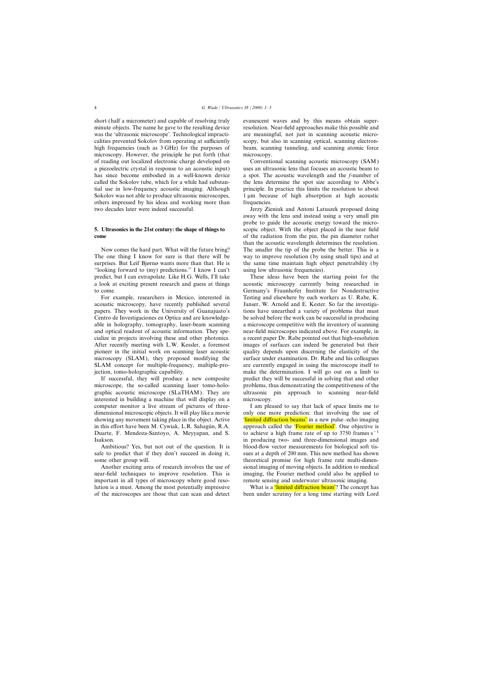minute objects. The name he gave to the resulting device resolution. Near-field approaches make this possible and was the 'ultrasonic microscope'. Technological impracti- are meaningful, not just in scanning acoustic microcalities prevented Sokolov from operating at sufficiently scopy, but also in scanning optical, scanning electronhigh frequencies (such as 3 GHz) for the purposes of beam, scanning tunneling, and scanning atomic force microscopy. However, the principle he put forth (that microscopy. of reading out localized electronic charge developed on Conventional scanning acoustic microscopy (SAM) a piezoelectric crystal in response to an acoustic input) uses an ultrasonic lens that focuses an acoustic beam to has since become embodied in a well-known device a spot. The acoustic wavelength and the *f*-number of called the Sokolov tube, which for a while had substan- the lens determine the spot size according to Abbe's tial use in low-frequency acoustic imaging. Although principle. In practice this limits the resolution to about Sokolov was not able to produce ultrasonic microscopes, 1 um because of high absorption at high acoustic others impressed by his ideas and working more than frequencies. two decades later were indeed successful. Jerzy Zieniuk and Antoni Latuszek proposed doing

The one thing I know for sure is that there will be way to improve resolution (by using small tips) and at surprises. But Leif Bjørnø wants more than that. He is the same time maintain high object penetrability (by ''looking forward to (my) predictions.'' I know I can't using low ultrasonic frequencies). predict, but I can extrapolate. Like H.G. Wells, I'll take These ideas have been the starting point for the a look at exciting present research and guess at things acoustic microscopy currently being researched in to come. Germany's Fraunhofer Institute for Nondestructive

acoustic microscopy, have recently published several Janser, W. Arnold and E. Kester. So far the investigapapers. They work in the University of Guanajuato's tions have unearthed a variety of problems that must Centro de Investigaciones en Optica and are knowledge- be solved before the work can be successful in producing able in holography, tomography, laser-beam scanning a microscope competitive with the inventory of scanning and optical readout of acoustic information. They spe- near-field microscopes indicated above. For example, in cialize in projects involving these and other photonics. a recent paper Dr. Rabe pointed out that high-resolution After recently meeting with L.W. Kessler, a foremost images of surfaces can indeed be generated but their pioneer in the initial work on scanning laser acoustic quality depends upon discerning the elasticity of the microscopy (SLAM), they proposed modifying the surface under examination. Dr. Rabe and his colleagues SLAM concept for multiple-frequency, multiple-pro- are currently engaged in using the microscope itself to jection, tomo-holographic capability. make the determination. I will go out on a limb to

microscope, the so-called scanning laser tomo-holo- problems, thus demonstrating the competitiveness of the graphic acoustic microscope (SLaTHAM). They are ultrasonic pin approach to scanning near-field interested in building a machine that will display on a microscopy. computer monitor a live stream of pictures of three- I am pleased to say that lack of space limits me to dimensional microscopic objects. It will play like a movie only one more prediction: that involving the use of showing any movement taking place in the object. Active **limited diffraction beams'** in a new pulse–echo imaging in this effort have been M. Cywiak, L.R. Sahagún, R.A. approach called the 'Fourier method'. One objective is Duarte, F. Mendoza-Santoyo, A. Meyyapan, and S. to achieve a high frame rate of up to 3750 frames s−1 Isakson. in producing two- and three-dimensional images and

safe to predict that if they don't succeed in doing it, sues at a depth of 200 mm. This new method has shown some other group will. theoretical promise for high frame rate multi-dimen-

near-field techniques to improve resolution. This is imaging, the Fourier method could also be applied to important in all types of microscopy where good reso- remote sensing and underwater ultrasonic imaging. lution is a must. Among the most potentially impressive What is a *'limited diffraction beam'*? The concept has of the microscopes are those that can scan and detect been under scrutiny for a long time starting with Lord

short (half a micrometer) and capable of resolving truly evanescent waves and by this means obtain super-

away with the lens and instead using a very small pin probe to guide the acoustic energy toward the micro-**5. Ultrasonics in the 21st century: the shape of things to** scopic object. With the object placed in the near field **come come** of the radiation from the pin, the pin diameter rather than the acoustic wavelength determines the resolution. Now comes the hard part. What will the future bring? The smaller the tip of the probe the better. This is a

For example, researchers in Mexico, interested in Testing and elsewhere by such workers as U. Rabe, K. If successful, they will produce a new composite predict they will be successful in solving that and other

Ambitious? Yes, but not out of the question. It is blood-flow vector measurements for biological soft tis-Another exciting area of research involves the use of sional imaging of moving objects. In addition to medical